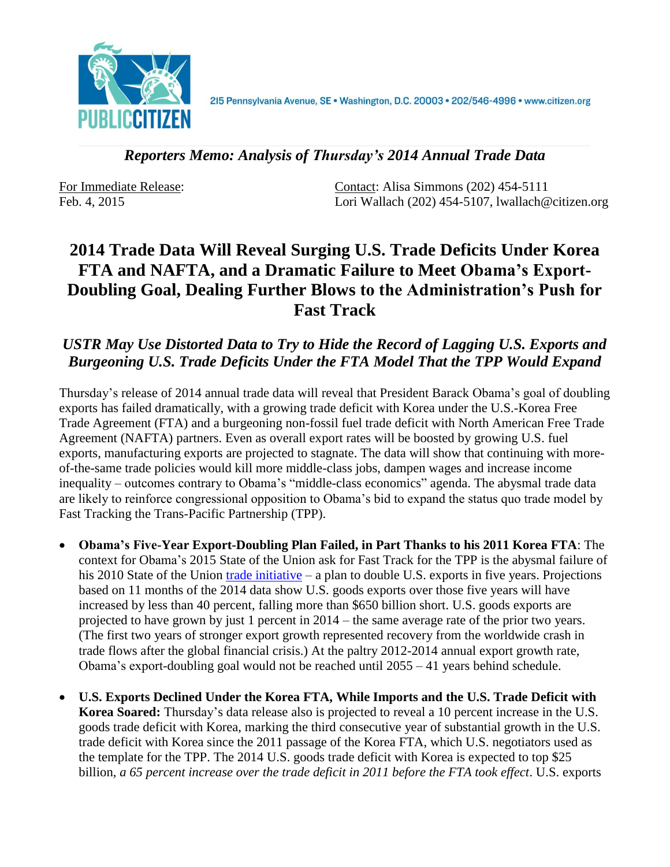

*Reporters Memo: Analysis of Thursday's 2014 Annual Trade Data*

For Immediate Release: Contact: Alisa Simmons (202) 454-5111 Feb. 4, 2015 Lori Wallach (202) 454-5107, lwallach@citizen.org

## **2014 Trade Data Will Reveal Surging U.S. Trade Deficits Under Korea FTA and NAFTA, and a Dramatic Failure to Meet Obama's Export-Doubling Goal, Dealing Further Blows to the Administration's Push for Fast Track**

## *USTR May Use Distorted Data to Try to Hide the Record of Lagging U.S. Exports and Burgeoning U.S. Trade Deficits Under the FTA Model That the TPP Would Expand*

Thursday's release of 2014 annual trade data will reveal that President Barack Obama's goal of doubling exports has failed dramatically, with a growing trade deficit with Korea under the U.S.-Korea Free Trade Agreement (FTA) and a burgeoning non-fossil fuel trade deficit with North American Free Trade Agreement (NAFTA) partners. Even as overall export rates will be boosted by growing U.S. fuel exports, manufacturing exports are projected to stagnate. The data will show that continuing with moreof-the-same trade policies would kill more middle-class jobs, dampen wages and increase income inequality – outcomes contrary to Obama's "middle-class economics" agenda. The abysmal trade data are likely to reinforce congressional opposition to Obama's bid to expand the status quo trade model by Fast Tracking the Trans-Pacific Partnership (TPP).

- **Obama's Five-Year Export-Doubling Plan Failed, in Part Thanks to his 2011 Korea FTA**: The context for Obama's 2015 State of the Union ask for Fast Track for the TPP is the abysmal failure of his 2010 State of the Union [trade initiative](http://www.whitehouse.gov/the-press-office/remarks-president-state-union-address) – a plan to double U.S. exports in five years. Projections based on 11 months of the 2014 data show U.S. goods exports over those five years will have increased by less than 40 percent, falling more than \$650 billion short. U.S. goods exports are projected to have grown by just 1 percent in 2014 – the same average rate of the prior two years. (The first two years of stronger export growth represented recovery from the worldwide crash in trade flows after the global financial crisis.) At the paltry 2012-2014 annual export growth rate, Obama's export-doubling goal would not be reached until 2055 – 41 years behind schedule.
- **U.S. Exports Declined Under the Korea FTA, While Imports and the U.S. Trade Deficit with Korea Soared:** Thursday's data release also is projected to reveal a 10 percent increase in the U.S. goods trade deficit with Korea, marking the third consecutive year of substantial growth in the U.S. trade deficit with Korea since the 2011 passage of the Korea FTA, which U.S. negotiators used as the template for the TPP. The 2014 U.S. goods trade deficit with Korea is expected to top \$25 billion, *a 65 percent increase over the trade deficit in 2011 before the FTA took effect*. U.S. exports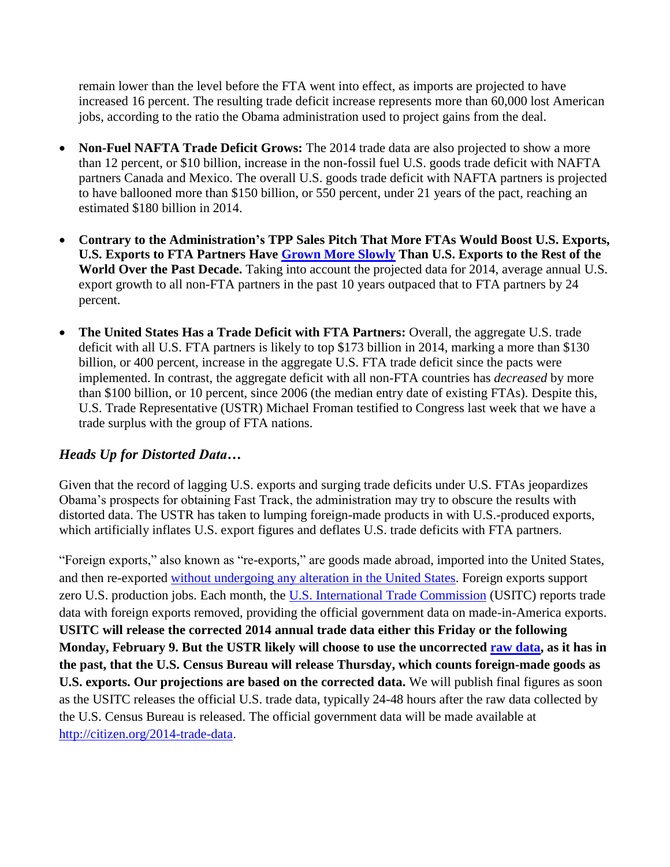remain lower than the level before the FTA went into effect, as imports are projected to have increased 16 percent. The resulting trade deficit increase represents more than 60,000 lost American jobs, according to the ratio the Obama administration used to project gains from the deal.

- **Non-Fuel NAFTA Trade Deficit Grows:** The 2014 trade data are also projected to show a more than 12 percent, or \$10 billion, increase in the non-fossil fuel U.S. goods trade deficit with NAFTA partners Canada and Mexico. The overall U.S. goods trade deficit with NAFTA partners is projected to have ballooned more than \$150 billion, or 550 percent, under 21 years of the pact, reaching an estimated \$180 billion in 2014.
- **Contrary to the Administration's TPP Sales Pitch That More FTAs Would Boost U.S. Exports, U.S. Exports to FTA Partners Have [Grown More Slowly](http://dataweb.usitc.gov/) Than U.S. Exports to the Rest of the**  World Over the Past Decade. Taking into account the projected data for 2014, average annual U.S. export growth to all non-FTA partners in the past 10 years outpaced that to FTA partners by 24 percent.
- **The United States Has a Trade Deficit with FTA Partners:** Overall, the aggregate U.S. trade deficit with all U.S. FTA partners is likely to top \$173 billion in 2014, marking a more than \$130 billion, or 400 percent, increase in the aggregate U.S. FTA trade deficit since the pacts were implemented. In contrast, the aggregate deficit with all non-FTA countries has *decreased* by more than \$100 billion, or 10 percent, since 2006 (the median entry date of existing FTAs). Despite this, U.S. Trade Representative (USTR) Michael Froman testified to Congress last week that we have a trade surplus with the group of FTA nations.

## *Heads Up for Distorted Data…*

Given that the record of lagging U.S. exports and surging trade deficits under U.S. FTAs jeopardizes Obama's prospects for obtaining Fast Track, the administration may try to obscure the results with distorted data. The USTR has taken to lumping foreign-made products in with U.S.-produced exports, which artificially inflates U.S. export figures and deflates U.S. trade deficits with FTA partners.

"Foreign exports," also known as "re-exports," are goods made abroad, imported into the United States, and then re-exported [without undergoing any alteration in the United States.](http://www.census.gov/foreign-trade/reference/definitions/#F) Foreign exports support zero U.S. production jobs. Each month, the [U.S. International Trade Commission](http://dataweb.usitc.gov/) (USITC) reports trade data with foreign exports removed, providing the official government data on made-in-America exports. **USITC will release the corrected 2014 annual trade data either this Friday or the following Monday, February 9. But the USTR likely will choose to use the uncorrected [raw data,](http://www.census.gov/foreign-trade/data/) as it has in the past, that the U.S. Census Bureau will release Thursday, which counts foreign-made goods as U.S. exports. Our projections are based on the corrected data.** We will publish final figures as soon as the USITC releases the official U.S. trade data, typically 24-48 hours after the raw data collected by the U.S. Census Bureau is released. The official government data will be made available at [http://citizen.org/2014-trade-data.](http://citizen.org/2014-trade-data)